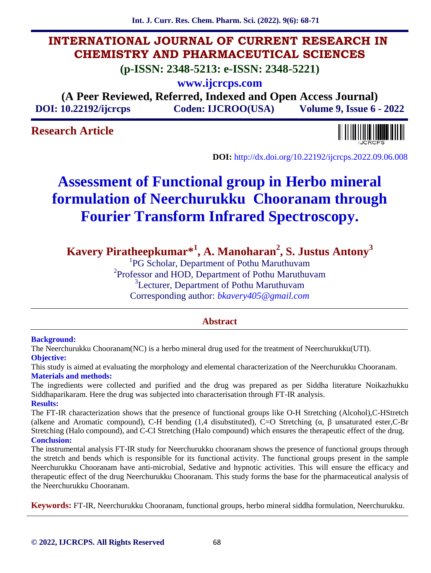**Int. J. Curr. Res. Chem. Pharm. Sci. (2022). 9(6): 68-71**

# **INTERNATIONAL JOURNAL OF CURRENT RESEARCH IN CHEMISTRY AND PHARMACEUTICAL SCIENCES**

**(p-ISSN: 2348-5213: e-ISSN: 2348-5221)**

**www.ijcrcps.com**

**(A Peer Reviewed, Referred, Indexed and Open Access Journal) DOI: 10.22192/ijcrcps Coden: IJCROO(USA) Volume 9, Issue 6 - 2022**

# **Research Article**



**DOI:** http://dx.doi.org/10.22192/ijcrcps.2022.09.06.008

# **Assessment of Functional group in Herbo mineral formulation of Neerchurukku Chooranam through Fourier Transform Infrared Spectroscopy.**

**Kavery Piratheepkumar\* 1 , A. Manoharan<sup>2</sup> , S. Justus Antony<sup>3</sup>**

<sup>1</sup>PG Scholar, Department of Pothu Maruthuvam <sup>2</sup>Professor and HOD, Department of Pothu Maruthuvam <sup>3</sup>Lecturer, Department of Pothu Maruthuvam Corresponding author: *bkavery405@gmail.com*

# **Abstract**

## **Background:**

The Neerchurukku Chooranam(NC) is a herbo mineral drug used for the treatment of Neerchurukku(UTI). **Objective:**

This study is aimed at evaluating the morphology and elemental characterization of the Neerchurukku Chooranam. **Materials and methods:**

The ingredients were collected and purified and the drug was prepared as per Siddha literature Noikazhukku Siddhaparikaram. Here the drug was subjected into characterisation through FT-IR analysis. **Results:**

The FT-IR characterization shows that the presence of functional groups like O-H Stretching (Alcohol),C-HStretch (alkene and Aromatic compound), C-H bending  $(1,4$  disubstituted), C=O Stretching ( $\mu$ , unsaturated ester,C-Br Stretching (Halo compound), and C-CI Stretching (Halo compound) which ensures the therapeutic effect of the drug. **Conclusion:**

#### The instrumental analysis FT-IR study for Neerchurukku chooranam shows the presence of functional groups through the stretch and bends which is responsible for its functional activity. The functional groups present in the sample Neerchurukku Chooranam have anti-microbial, Sedative and hypnotic activities. This will ensure the efficacy and therapeutic effect of the drug Neerchurukku Chooranam. This study forms the base for the pharmaceutical analysis of the Neerchurukku Chooranam.

**Keywords:** FT-IR, Neerchurukku Chooranam, functional groups, herbo mineral siddha formulation, Neerchurukku.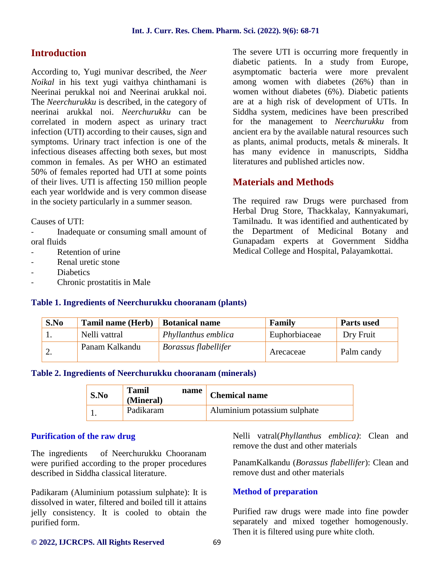# **Introduction**

According to, Yugi munivar described, the *Neer Noikal* in his text yugi vaithya chinthamani is Neerinai perukkal noi and Neerinai arukkal noi. The *Neerchurukku* is described, in the category of neerinai arukkal noi. *Neerchurukku* can be correlated in modern aspect as urinary tract infection (UTI) according to their causes, sign and symptoms. Urinary tract infection is one of the infectious diseases affecting both sexes, but most common in females. As per WHO an estimated 50% of females reported had UTI at some points of their lives. UTI is affecting 150 million people each year worldwide and is very common disease in the society particularly in a summer season.

Causes of UTI:

Inadequate or consuming small amount of oral fluids

- Retention of urine
- Renal uretic stone
- **Diabetics**
- Chronic prostatitis in Male

The severe UTI is occurring more frequently in diabetic patients. In a study from Europe, asymptomatic bacteria were more prevalent among women with diabetes (26%) than in women without diabetes (6%). Diabetic patients are at a high risk of development of UTIs. In Siddha system, medicines have been prescribed for the management to *Neerchurukku* from ancient era by the available natural resources such as plants, animal products, metals & minerals. It has many evidence in manuscripts, Siddha literatures and published articles now.

# **Materials and Methods**

The required raw Drugs were purchased from Herbal Drug Store, Thackkalay, Kannyakumari, Tamilnadu. It was identified and authenticated by the Department of Medicinal Botany and Gunapadam experts at Government Siddha Medical College and Hospital, Palayamkottai.

#### **Table 1. Ingredients of Neerchurukku chooranam (plants)**

| S.No | <b>Tamil name (Herb)</b> | <b>Botanical name</b> | Family        | <b>Parts used</b> |
|------|--------------------------|-----------------------|---------------|-------------------|
|      | Nelli vattral            | Phyllanthus emblica   | Euphorbiaceae | Dry Fruit         |
|      | Panam Kalkandu           | Borassus flabellifer  | Arecaceae     | Palm candy        |

#### **Table 2. Ingredients of Neerchurukku chooranam (minerals)**

| S.No | Tamil<br>(Mineral) | name | <b>Chemical name</b>         |
|------|--------------------|------|------------------------------|
|      | Padikaram          |      | Aluminium potassium sulphate |

## **Purification of the raw drug**

The ingredients of Neerchurukku Chooranam were purified according to the proper procedures described in Siddha classical literature.

Padikaram (Aluminium potassium sulphate): It is dissolved in water, filtered and boiled till it attains jelly consistency. It is cooled to obtain the purified form.

Nelli vatral(*Phyllanthus emblica)*: Clean and remove the dust and other materials

PanamKalkandu (*Borassus flabellifer*): Clean and remove dust and other materials

## **Method of preparation**

Purified raw drugs were made into fine powder separately and mixed together homogenously. Then it is filtered using pure white cloth.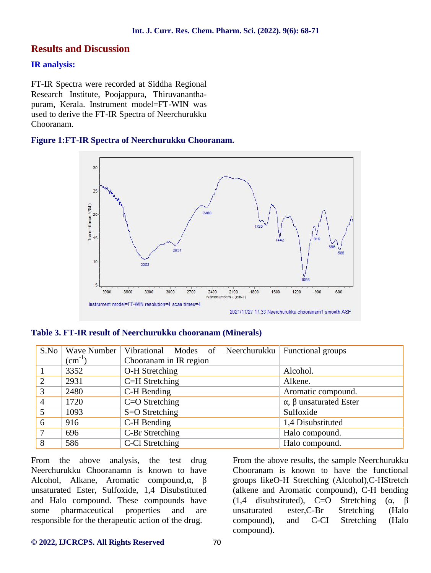## **Results and Discussion**

#### **IR analysis:**

FT-IR Spectra were recorded at Siddha Regional Research Institute, Poojappura, Thiruvanantha puram, Kerala. Instrument model=FT-WIN was used to derive the FT-IR Spectra of Neerchurukku Chooranam.

### **Figure 1:FT-IR Spectra of Neerchurukku Chooranam.**



#### **Table 3. FT-IR result of Neerchurukku chooranam (Minerals)**

| S.No | Wave Number      | Vibrational Modes of Neerchurukku | Functional groups  |
|------|------------------|-----------------------------------|--------------------|
|      | $\text{cm}^{-1}$ | Chooranam in IR region            |                    |
|      | 3352             | O-H Stretching                    | Alcohol.           |
|      | 2931             | C=H Stretching                    | Alkene.            |
| 3    | 2480             | C-H Bending                       | Aromatic compound. |
| 4    | 1720             | $C=O$ Stretching                  | unsaturated Ester  |
|      | 1093             | S=O Stretching                    | Sulfoxide          |
| 6    | 916              | C-H Bending                       | 1,4 Disubstituted  |
|      | 696              | C-Br Stretching                   | Halo compound.     |
| 8    | 586              | C-Cl Stretching                   | Halo compound.     |

From the above analysis, the test drug Neerchurukku Chooranamn is known to have Alcohol, Alkane, Aromatic compound, unsaturated Ester, Sulfoxide, 1,4 Disubstituted and Halo compound. These compounds have some pharmaceutical properties and are responsible for the therapeutic action of the drug.

From the above results, the sample Neerchurukku Chooranam is known to have the functional groups likeO-H Stretching (Alcohol),C-HStretch (alkene and Aromatic compound), C-H bending  $(1,4 \text{ distributed})$ , C=O Stretching (, ester, C-Br Stretching (Halo compound), and C-CI Stretching (Halo compound).

#### **© 2022, IJCRCPS. All Rights Reserved** 70